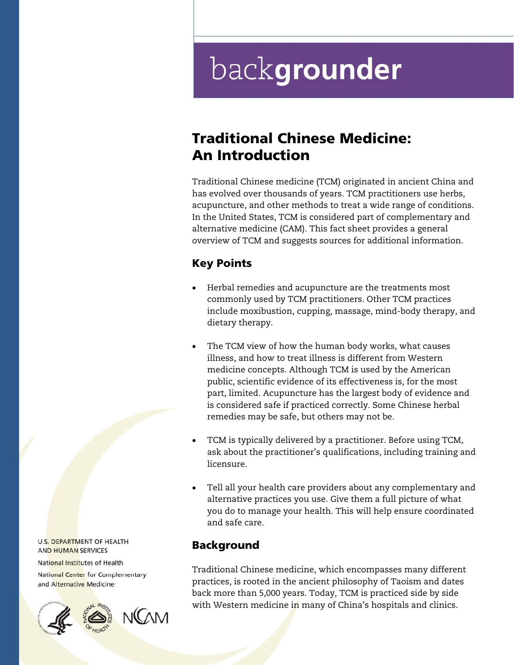# backgrounder

# Traditional Chinese Medicine: An Introduction

Traditional Chinese medicine (TCM) originated in ancient China and has evolved over thousands of years. TCM practitioners use herbs, acupuncture, and other methods to treat a wide range of conditions. In the United States, TCM is considered part of complementary and alternative medicine (CAM). This fact sheet provides a general overview of TCM and suggests sources for additional information.

# Key Points

- Herbal remedies and acupuncture are the treatments most commonly used by TCM practitioners. Other TCM practices include moxibustion, cupping, massage, mind-body therapy, and dietary therapy.
- The TCM view of how the human body works, what causes illness, and how to treat illness is different from Western medicine concepts. Although TCM is used by the American public, scientific evidence of its effectiveness is, for the most part, limited. Acupuncture has the largest body of evidence and is considered safe if practiced correctly. Some Chinese herbal remedies may be safe, but others may not be.
- TCM is typically delivered by a practitioner. Before using TCM, ask about the practitioner's qualifications, including training and licensure.
- Tell all your health care providers about any complementary and alternative practices you use. Give them a full picture of what you do to manage your health. This will help ensure coordinated and safe care.

# Background

Traditional Chinese medicine, which encompasses many different practices, is rooted in the ancient philosophy of Taoism and dates back more than 5,000 years. Today, TCM is practiced side by side with Western medicine in many of China's hospitals and clinics.

**U.S. DEPARTMENT OF HEALTH AND HUMAN SERVICES** 

National Institutes of Health

**National Center for Complementary** and Alternative Medicine

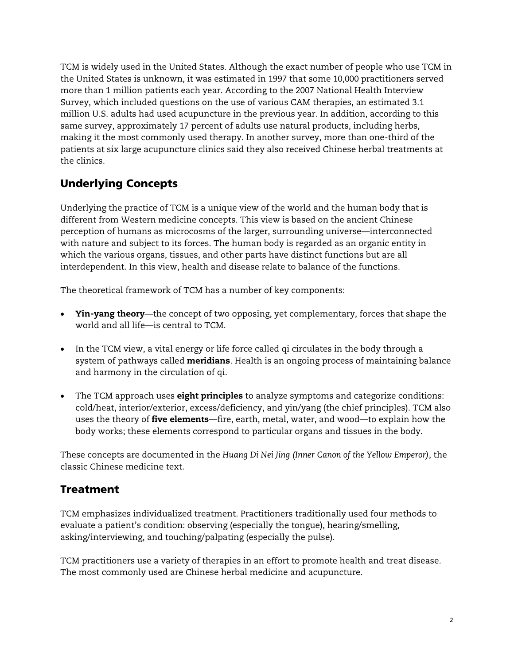TCM is widely used in the United States. Although the exact number of people who use TCM in the United States is unknown, it was estimated in 1997 that some 10,000 practitioners served more than 1 million patients each year. According to the 2007 National Health Interview Survey, which included questions on the use of various CAM therapies, an estimated 3.1 million U.S. adults had used acupuncture in the previous year. In addition, according to this same survey, approximately 17 percent of adults use natural products, including herbs, making it the most commonly used therapy. In another survey, more than one-third of the patients at six large acupuncture clinics said they also received Chinese herbal treatments at the clinics.

# Underlying Concepts

Underlying the practice of TCM is a unique view of the world and the human body that is different from Western medicine concepts. This view is based on the ancient Chinese perception of humans as microcosms of the larger, surrounding universe—interconnected with nature and subject to its forces. The human body is regarded as an organic entity in which the various organs, tissues, and other parts have distinct functions but are all interdependent. In this view, health and disease relate to balance of the functions.

The theoretical framework of TCM has a number of key components:

- Yin-yang theory—the concept of two opposing, yet complementary, forces that shape the world and all life—is central to TCM.
- In the TCM view, a vital energy or life force called qi circulates in the body through a system of pathways called **meridians**. Health is an ongoing process of maintaining balance and harmony in the circulation of qi.
- The TCM approach uses eight principles to analyze symptoms and categorize conditions: cold/heat, interior/exterior, excess/deficiency, and yin/yang (the chief principles). TCM also uses the theory of five elements—fire, earth, metal, water, and wood—to explain how the body works; these elements correspond to particular organs and tissues in the body.

These concepts are documented in the *Huang Di Nei Jing (Inner Canon of the Yellow Emperor)*, the classic Chinese medicine text.

#### Treatment

TCM emphasizes individualized treatment. Practitioners traditionally used four methods to evaluate a patient's condition: observing (especially the tongue), hearing/smelling, asking/interviewing, and touching/palpating (especially the pulse).

TCM practitioners use a variety of therapies in an effort to promote health and treat disease. The most commonly used are Chinese herbal medicine and acupuncture.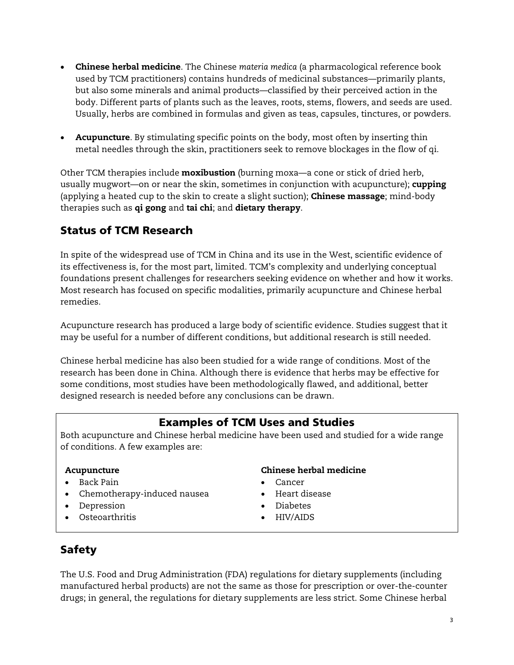- Chinese herbal medicine. The Chinese *materia medica* (a pharmacological reference book used by TCM practitioners) contains hundreds of medicinal substances—primarily plants, but also some minerals and animal products—classified by their perceived action in the body. Different parts of plants such as the leaves, roots, stems, flowers, and seeds are used. Usually, herbs are combined in formulas and given as teas, capsules, tinctures, or powders.
- Acupuncture. By stimulating specific points on the body, most often by inserting thin metal needles through the skin, practitioners seek to remove blockages in the flow of qi.

Other TCM therapies include **moxibustion** (burning moxa—a cone or stick of dried herb, usually mugwort—on or near the skin, sometimes in conjunction with acupuncture); cupping (applying a heated cup to the skin to create a slight suction); **Chinese massage**; mind-body therapies such as qi gong and tai chi; and dietary therapy.

# Status of TCM Research

In spite of the widespread use of TCM in China and its use in the West, scientific evidence of its effectiveness is, for the most part, limited. TCM's complexity and underlying conceptual foundations present challenges for researchers seeking evidence on whether and how it works. Most research has focused on specific modalities, primarily acupuncture and Chinese herbal remedies.

Acupuncture research has produced a large body of scientific evidence. Studies suggest that it may be useful for a number of different conditions, but additional research is still needed.

Chinese herbal medicine has also been studied for a wide range of conditions. Most of the research has been done in China. Although there is evidence that herbs may be effective for some conditions, most studies have been methodologically flawed, and additional, better designed research is needed before any conclusions can be drawn.

# Examples of TCM Uses and Studies

Both acupuncture and Chinese herbal medicine have been used and studied for a wide range of conditions. A few examples are:

- Back Pain **Cancer**
- Chemotherapy-induced nausea Heart disease
- Depression Diabetes
- Osteoarthritis HIV/AIDS

#### Acupuncture **Chinese herbal medicine**

- 
- 
- 
- 

# Safety

The U.S. Food and Drug Administration (FDA) regulations for dietary supplements (including manufactured herbal products) are not the same as those for prescription or over-the-counter drugs; in general, the regulations for dietary supplements are less strict. Some Chinese herbal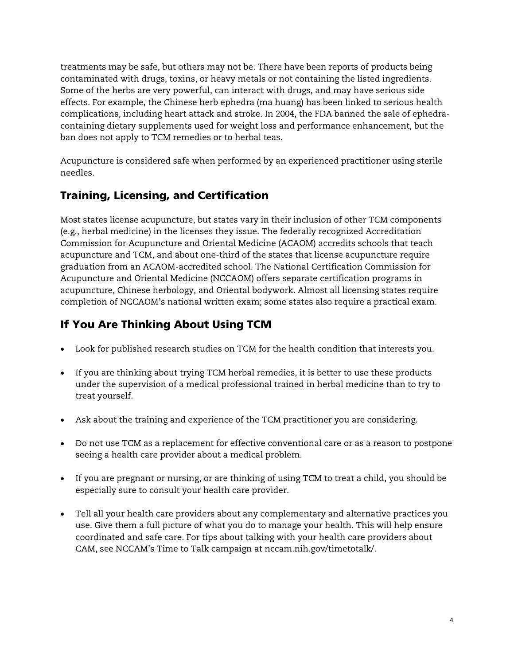treatments may be safe, but others may not be. There have been reports of products being contaminated with drugs, toxins, or heavy metals or not containing the listed ingredients. Some of the herbs are very powerful, can interact with drugs, and may have serious side effects. For example, the Chinese herb ephedra (ma huang) has been linked to serious health complications, including heart attack and stroke. In 2004, the FDA banned the sale of ephedracontaining dietary supplements used for weight loss and performance enhancement, but the ban does not apply to TCM remedies or to herbal teas.

Acupuncture is considered safe when performed by an experienced practitioner using sterile needles.

# Training, Licensing, and Certification

Most states license acupuncture, but states vary in their inclusion of other TCM components (e.g., herbal medicine) in the licenses they issue. The federally recognized Accreditation Commission for Acupuncture and Oriental Medicine (ACAOM) accredits schools that teach acupuncture and TCM, and about one-third of the states that license acupuncture require graduation from an ACAOM-accredited school. The National Certification Commission for Acupuncture and Oriental Medicine (NCCAOM) offers separate certification programs in acupuncture, Chinese herbology, and Oriental bodywork. Almost all licensing states require completion of NCCAOM's national written exam; some states also require a practical exam.

# If You Are Thinking About Using TCM

- Look for published research studies on TCM for the health condition that interests you.
- If you are thinking about trying TCM herbal remedies, it is better to use these products under the supervision of a medical professional trained in herbal medicine than to try to treat yourself.
- Ask about the training and experience of the TCM practitioner you are considering.
- Do not use TCM as a replacement for effective conventional care or as a reason to postpone seeing a health care provider about a medical problem.
- If you are pregnant or nursing, or are thinking of using TCM to treat a child, you should be especially sure to consult your health care provider.
- Tell all your health care providers about any complementary and alternative practices you use. Give them a full picture of what you do to manage your health. This will help ensure coordinated and safe care. For tips about talking with your health care providers about CAM, see NCCAM's Time to Talk campaign at nccam.nih.gov/timetotalk/.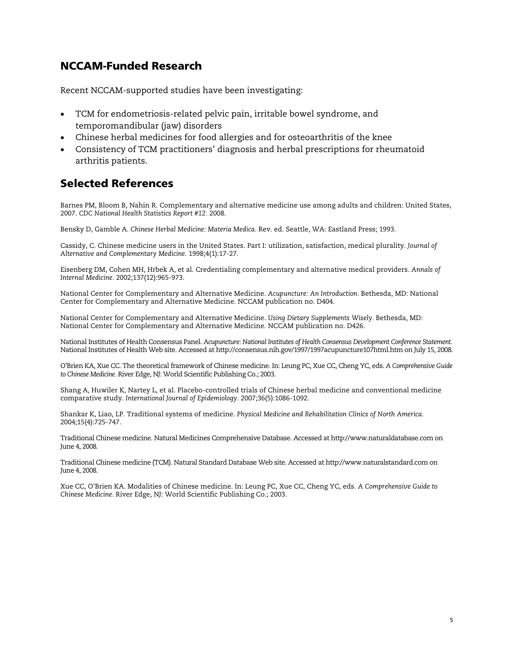#### NCCAM-Funded Research

Recent NCCAM-supported studies have been investigating:

- TCM for endometriosis-related pelvic pain, irritable bowel syndrome, and temporomandibular (jaw) disorders
- Chinese herbal medicines for food allergies and for osteoarthritis of the knee
- Consistency of TCM practitioners' diagnosis and herbal prescriptions for rheumatoid arthritis patients.

#### Selected References

Barnes PM, Bloom B, Nahin R. Complementary and alternative medicine use among adults and children: United States, 2007. *CDC National Health Statistics Report #12.* 2008.

Bensky D, Gamble A. *Chinese Herbal Medicine: Materia Medica.* Rev. ed. Seattle, WA: Eastland Press; 1993.

Cassidy, C. Chinese medicine users in the United States. Part I: utilization, satisfaction, medical plurality. *Journal of Alternative and Complementary Medicine.* 1998;4(1):17-27.

Eisenberg DM, Cohen MH, Hrbek A, et al. Credentialing complementary and alternative medical providers. *Annals of Internal Medicine.* 2002;137(12):965-973.

National Center for Complementary and Alternative Medicine. *Acupuncture: An Introduction.* Bethesda, MD: National Center for Complementary and Alternative Medicine. NCCAM publication no. D404.

National Center for Complementary and Alternative Medicine. *Using Dietary Supplements Wisely.* Bethesda, MD: National Center for Complementary and Alternative Medicine. NCCAM publication no. D426.

National Institutes of Health Consensus Panel. *Acupuncture: National Institutes of Health Consensus Development Conference Statement.*  National Institutes of Health Web site. Accessed at http://consensus.nih.gov/1997/1997acupuncture107html.htm on July 15, 2008.

O'Brien KA, Xue CC. The theoretical framework of Chinese medicine. In: Leung PC, Xue CC, Cheng YC, eds. *A Comprehensive Guide to Chinese Medicine.* River Edge, NJ: World Scientific Publishing Co.; 2003.

Shang A, Huwiler K, Nartey L, et al. Placebo-controlled trials of Chinese herbal medicine and conventional medicine comparative study. *International Journal of Epidemiology.* 2007;36(5):1086-1092.

Shankar K, Liao, LP. Traditional systems of medicine. *Physical Medicine and Rehabilitation Clinics of North America.*  2004;15(4):725-747.

Traditional Chinese medicine. Natural Medicines Comprehensive Database. Accessed at http://www.naturaldatabase.com on June 4, 2008.

Traditional Chinese medicine (TCM). Natural Standard Database Web site. Accessed at http://www.naturalstandard.com on June 4, 2008.

Xue CC, O'Brien KA. Modalities of Chinese medicine. In: Leung PC, Xue CC, Cheng YC, eds. *A Comprehensive Guide to Chinese Medicine.* River Edge, NJ: World Scientific Publishing Co.; 2003.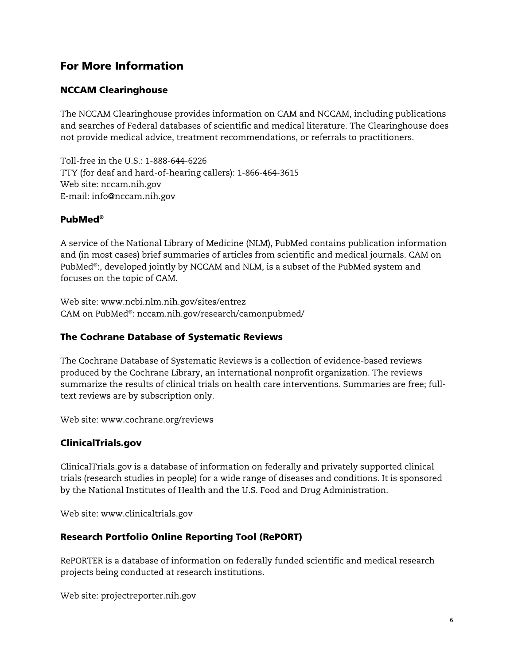## For More Information

#### NCCAM Clearinghouse

The NCCAM Clearinghouse provides information on CAM and NCCAM, including publications and searches of Federal databases of scientific and medical literature. The Clearinghouse does not provide medical advice, treatment recommendations, or referrals to practitioners.

Toll-free in the U.S.: 1-888-644-6226 TTY (for deaf and hard-of-hearing callers): 1-866-464-3615 Web site: nccam.nih.gov E-mail: info@nccam.nih.gov

#### PubMed®

A service of the National Library of Medicine (NLM), PubMed contains publication information and (in most cases) brief summaries of articles from scientific and medical journals. CAM on PubMed®:, developed jointly by NCCAM and NLM, is a subset of the PubMed system and focuses on the topic of CAM.

Web site: www.ncbi.nlm.nih.gov/sites/entrez CAM on PubMed®: nccam.nih.gov/research/camonpubmed/

#### The Cochrane Database of Systematic Reviews

The Cochrane Database of Systematic Reviews is a collection of evidence-based reviews produced by the Cochrane Library, an international nonprofit organization. The reviews summarize the results of clinical trials on health care interventions. Summaries are free; fulltext reviews are by subscription only.

Web site: www.cochrane.org/reviews

#### ClinicalTrials.gov

ClinicalTrials.gov is a database of information on federally and privately supported clinical trials (research studies in people) for a wide range of diseases and conditions. It is sponsored by the National Institutes of Health and the U.S. Food and Drug Administration.

Web site: www.clinicaltrials.gov

#### Research Portfolio Online Reporting Tool (RePORT)

RePORTER is a database of information on federally funded scientific and medical research projects being conducted at research institutions.

Web site: projectreporter.nih.gov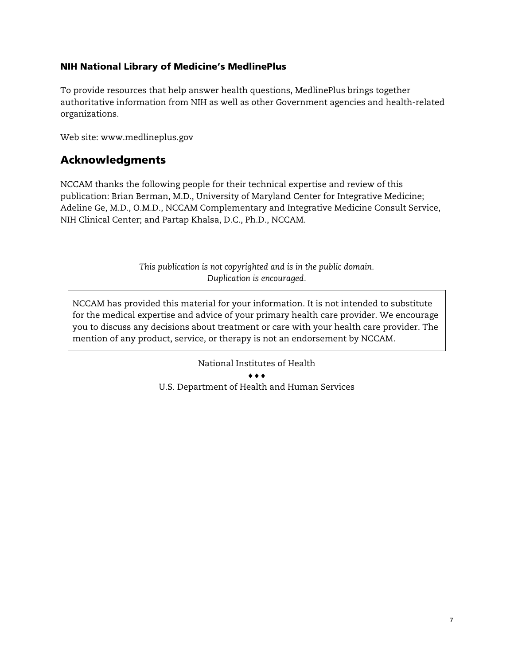#### NIH National Library of Medicine's MedlinePlus

To provide resources that help answer health questions, MedlinePlus brings together authoritative information from NIH as well as other Government agencies and health-related organizations.

Web site: www.medlineplus.gov

## Acknowledgments

NCCAM thanks the following people for their technical expertise and review of this publication: Brian Berman, M.D., University of Maryland Center for Integrative Medicine; Adeline Ge, M.D., O.M.D., NCCAM Complementary and Integrative Medicine Consult Service, NIH Clinical Center; and Partap Khalsa, D.C., Ph.D., NCCAM.

> *This publication is not copyrighted and is in the public domain. Duplication is encouraged.*

NCCAM has provided this material for your information. It is not intended to substitute for the medical expertise and advice of your primary health care provider. We encourage you to discuss any decisions about treatment or care with your health care provider. The mention of any product, service, or therapy is not an endorsement by NCCAM.

> National Institutes of Health  $\bullet\bullet\bullet$ U.S. Department of Health and Human Services